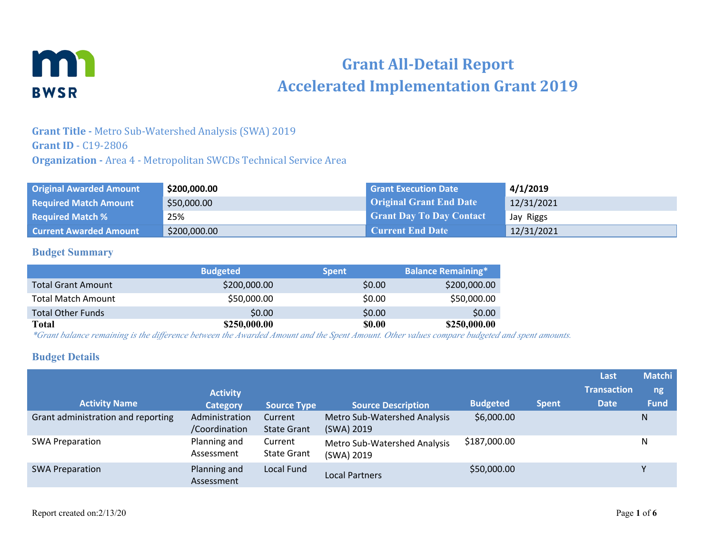

# **Grant All-Detail Report Accelerated Implementation Grant 2019**

#### **Grant Title -** Metro Sub-Watershed Analysis (SWA) 2019 **Grant ID** - C19-2806 **Organization -** Area 4 - Metropolitan SWCDs Technical Service Area

| <b>Original Awarded Amount</b> | \$200,000.00 | <b>Grant Execution Date</b>     | 4/1/2019   |
|--------------------------------|--------------|---------------------------------|------------|
| <b>Required Match Amount</b>   | \$50,000.00  | <b>Original Grant End Date</b>  | 12/31/2021 |
| <b>Required Match %</b>        | 25%          | <b>Grant Day To Day Contact</b> | Jay Riggs  |
| <b>Current Awarded Amount</b>  | \$200,000.00 | <b>Current End Date</b>         | 12/31/2021 |

#### **Budget Summary**

|                           | <b>Budgeted</b> | <b>Spent</b> | <b>Balance Remaining*</b> |
|---------------------------|-----------------|--------------|---------------------------|
| <b>Total Grant Amount</b> | \$200,000.00    | \$0.00       | \$200,000.00              |
| <b>Total Match Amount</b> | \$50,000.00     | \$0.00       | \$50,000.00               |
| <b>Total Other Funds</b>  | \$0.00          | \$0.00       | \$0.00                    |
| <b>Total</b>              | \$250,000.00    | \$0.00       | \$250,000.00              |

*\*Grant balance remaining is the difference between the Awarded Amount and the Spent Amount. Other values compare budgeted and spent amounts.*

#### **Budget Details**

| <b>Activity Name</b>               | <b>Activity</b><br><b>Category</b> | <b>Source Type</b>            | <b>Source Description</b>                         | <b>Budgeted</b> | <b>Spent</b> | Last<br><b>Transaction</b><br><b>Date</b> | <b>Matchi</b><br>ng<br><b>Fund</b> |
|------------------------------------|------------------------------------|-------------------------------|---------------------------------------------------|-----------------|--------------|-------------------------------------------|------------------------------------|
| Grant administration and reporting | Administration<br>/Coordination    | Current<br><b>State Grant</b> | <b>Metro Sub-Watershed Analysis</b><br>(SWA) 2019 | \$6,000.00      |              |                                           | N                                  |
| <b>SWA Preparation</b>             | Planning and<br>Assessment         | Current<br><b>State Grant</b> | Metro Sub-Watershed Analysis<br>(SWA) 2019        | \$187,000.00    |              |                                           | N                                  |
| <b>SWA Preparation</b>             | Planning and<br>Assessment         | Local Fund                    | <b>Local Partners</b>                             | \$50,000.00     |              |                                           |                                    |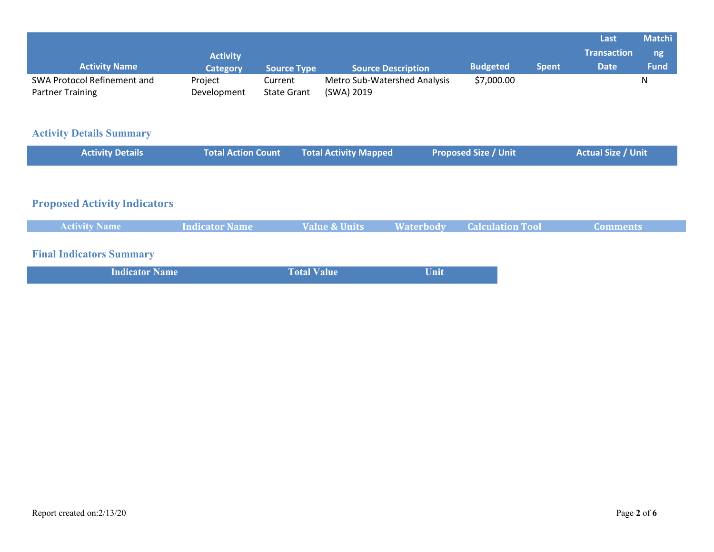|                             |                 |                    |                              |                 |              | Last               | <b>Matchi</b> |
|-----------------------------|-----------------|--------------------|------------------------------|-----------------|--------------|--------------------|---------------|
|                             | <b>Activity</b> |                    |                              |                 |              | <b>Transaction</b> | ng            |
| <b>Activity Name</b>        | <b>Category</b> | <b>Source Type</b> | <b>Source Description</b>    | <b>Budgeted</b> | <b>Spent</b> | <b>Date</b>        | <b>Fund</b>   |
| SWA Protocol Refinement and | Project         | Current            | Metro Sub-Watershed Analysis | \$7,000.00      |              |                    | N             |
| <b>Partner Training</b>     | Development     | <b>State Grant</b> | (SWA) 2019                   |                 |              |                    |               |

## **Activity Details Summary**

| <b>Activity Details</b> | <b>Total Action Count Total Activity Mapped</b> | <b>Proposed Size / Unit</b> | <b>Actual Size / Unit</b> |
|-------------------------|-------------------------------------------------|-----------------------------|---------------------------|
|                         |                                                 |                             |                           |

## **Proposed Activity Indicators**

|  |  | <b>Activity Name</b> | <b>Indicator Name</b> | Value & Units |  | <b>Waterbody Calculation Tool</b> | Comments' |
|--|--|----------------------|-----------------------|---------------|--|-----------------------------------|-----------|
|--|--|----------------------|-----------------------|---------------|--|-----------------------------------|-----------|

## **Final Indicators Summary**

| <b>Indicator Name</b> | <b>Total Value</b> | Unit |
|-----------------------|--------------------|------|
|                       |                    |      |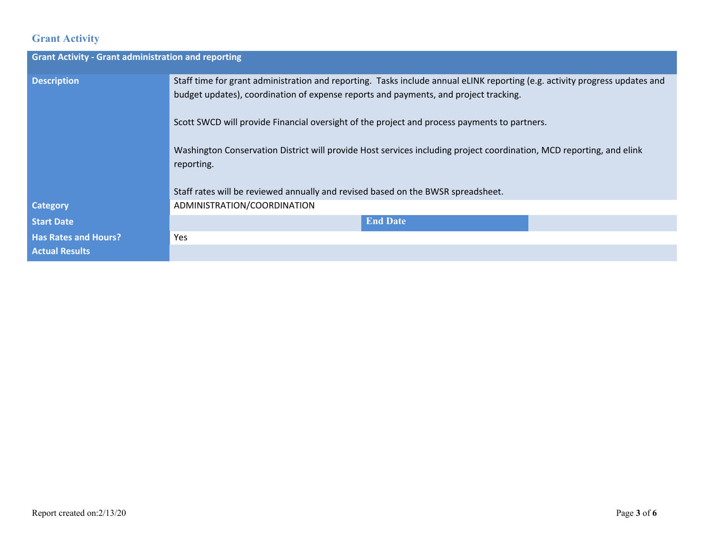## **Grant Activity**

| <b>Grant Activity - Grant administration and reporting</b> |                                                                                                                                                                                                                     |  |  |  |  |
|------------------------------------------------------------|---------------------------------------------------------------------------------------------------------------------------------------------------------------------------------------------------------------------|--|--|--|--|
| <b>Description</b>                                         | Staff time for grant administration and reporting. Tasks include annual eLINK reporting (e.g. activity progress updates and<br>budget updates), coordination of expense reports and payments, and project tracking. |  |  |  |  |
|                                                            | Scott SWCD will provide Financial oversight of the project and process payments to partners.                                                                                                                        |  |  |  |  |
|                                                            | Washington Conservation District will provide Host services including project coordination, MCD reporting, and elink<br>reporting.                                                                                  |  |  |  |  |
|                                                            | Staff rates will be reviewed annually and revised based on the BWSR spreadsheet.                                                                                                                                    |  |  |  |  |
| <b>Category</b>                                            | ADMINISTRATION/COORDINATION                                                                                                                                                                                         |  |  |  |  |
| <b>Start Date</b>                                          | <b>End Date</b>                                                                                                                                                                                                     |  |  |  |  |
| <b>Has Rates and Hours?</b><br><b>Actual Results</b>       | Yes                                                                                                                                                                                                                 |  |  |  |  |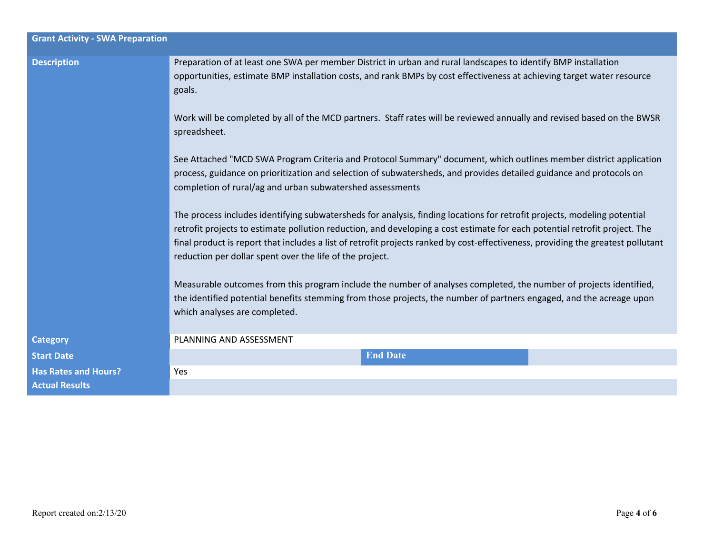| <b>Grant Activity - SWA Preparation</b> |                                                                                                                                                                                                                                                                                                                                                                                                                                                        |  |  |  |  |
|-----------------------------------------|--------------------------------------------------------------------------------------------------------------------------------------------------------------------------------------------------------------------------------------------------------------------------------------------------------------------------------------------------------------------------------------------------------------------------------------------------------|--|--|--|--|
| <b>Description</b>                      | Preparation of at least one SWA per member District in urban and rural landscapes to identify BMP installation<br>opportunities, estimate BMP installation costs, and rank BMPs by cost effectiveness at achieving target water resource<br>goals.<br>Work will be completed by all of the MCD partners. Staff rates will be reviewed annually and revised based on the BWSR<br>spreadsheet.                                                           |  |  |  |  |
|                                         | See Attached "MCD SWA Program Criteria and Protocol Summary" document, which outlines member district application<br>process, guidance on prioritization and selection of subwatersheds, and provides detailed guidance and protocols on<br>completion of rural/ag and urban subwatershed assessments                                                                                                                                                  |  |  |  |  |
|                                         | The process includes identifying subwatersheds for analysis, finding locations for retrofit projects, modeling potential<br>retrofit projects to estimate pollution reduction, and developing a cost estimate for each potential retrofit project. The<br>final product is report that includes a list of retrofit projects ranked by cost-effectiveness, providing the greatest pollutant<br>reduction per dollar spent over the life of the project. |  |  |  |  |
|                                         | Measurable outcomes from this program include the number of analyses completed, the number of projects identified,<br>the identified potential benefits stemming from those projects, the number of partners engaged, and the acreage upon<br>which analyses are completed.                                                                                                                                                                            |  |  |  |  |
| <b>Category</b>                         | PLANNING AND ASSESSMENT                                                                                                                                                                                                                                                                                                                                                                                                                                |  |  |  |  |
| <b>Start Date</b>                       | <b>End Date</b>                                                                                                                                                                                                                                                                                                                                                                                                                                        |  |  |  |  |
| <b>Has Rates and Hours?</b>             | Yes                                                                                                                                                                                                                                                                                                                                                                                                                                                    |  |  |  |  |
| <b>Actual Results</b>                   |                                                                                                                                                                                                                                                                                                                                                                                                                                                        |  |  |  |  |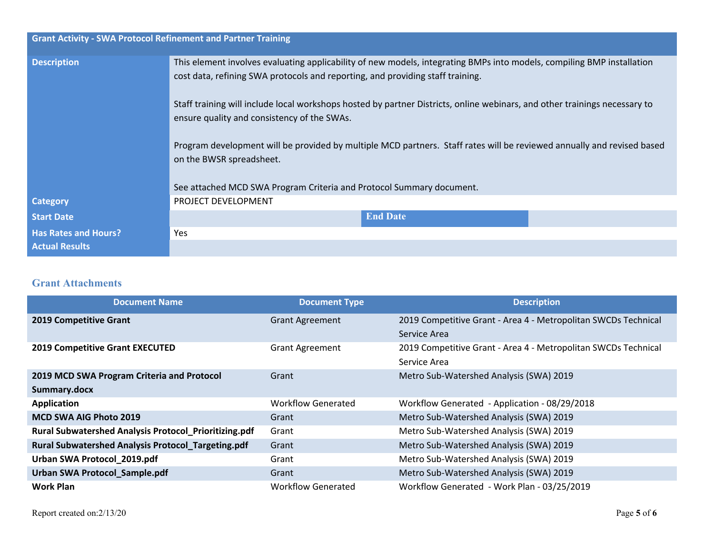| <b>Grant Activity - SWA Protocol Refinement and Partner Training</b> |                                                                                                                                                                                                          |
|----------------------------------------------------------------------|----------------------------------------------------------------------------------------------------------------------------------------------------------------------------------------------------------|
| <b>Description</b>                                                   | This element involves evaluating applicability of new models, integrating BMPs into models, compiling BMP installation<br>cost data, refining SWA protocols and reporting, and providing staff training. |
|                                                                      | Staff training will include local workshops hosted by partner Districts, online webinars, and other trainings necessary to<br>ensure quality and consistency of the SWAs.                                |
|                                                                      | Program development will be provided by multiple MCD partners. Staff rates will be reviewed annually and revised based<br>on the BWSR spreadsheet.                                                       |
|                                                                      | See attached MCD SWA Program Criteria and Protocol Summary document.                                                                                                                                     |
| <b>Category</b>                                                      | PROJECT DEVELOPMENT                                                                                                                                                                                      |
| <b>Start Date</b>                                                    | <b>End Date</b>                                                                                                                                                                                          |
| <b>Has Rates and Hours?</b>                                          | Yes                                                                                                                                                                                                      |
| <b>Actual Results</b>                                                |                                                                                                                                                                                                          |

#### **Grant Attachments**

| <b>Document Name</b>                                      | <b>Document Type</b>      | <b>Description</b>                                             |
|-----------------------------------------------------------|---------------------------|----------------------------------------------------------------|
| <b>2019 Competitive Grant</b>                             | <b>Grant Agreement</b>    | 2019 Competitive Grant - Area 4 - Metropolitan SWCDs Technical |
|                                                           |                           | Service Area                                                   |
| <b>2019 Competitive Grant EXECUTED</b>                    | <b>Grant Agreement</b>    | 2019 Competitive Grant - Area 4 - Metropolitan SWCDs Technical |
|                                                           |                           | Service Area                                                   |
| 2019 MCD SWA Program Criteria and Protocol                | Grant                     | Metro Sub-Watershed Analysis (SWA) 2019                        |
| Summary.docx                                              |                           |                                                                |
| <b>Application</b>                                        | <b>Workflow Generated</b> | Workflow Generated - Application - 08/29/2018                  |
| <b>MCD SWA AIG Photo 2019</b>                             | Grant                     | Metro Sub-Watershed Analysis (SWA) 2019                        |
| Rural Subwatershed Analysis Protocol_Prioritizing.pdf     | Grant                     | Metro Sub-Watershed Analysis (SWA) 2019                        |
| <b>Rural Subwatershed Analysis Protocol_Targeting.pdf</b> | Grant                     | Metro Sub-Watershed Analysis (SWA) 2019                        |
| Urban SWA Protocol_2019.pdf                               | Grant                     | Metro Sub-Watershed Analysis (SWA) 2019                        |
| <b>Urban SWA Protocol_Sample.pdf</b>                      | Grant                     | Metro Sub-Watershed Analysis (SWA) 2019                        |
| <b>Work Plan</b>                                          | <b>Workflow Generated</b> | Workflow Generated - Work Plan - 03/25/2019                    |